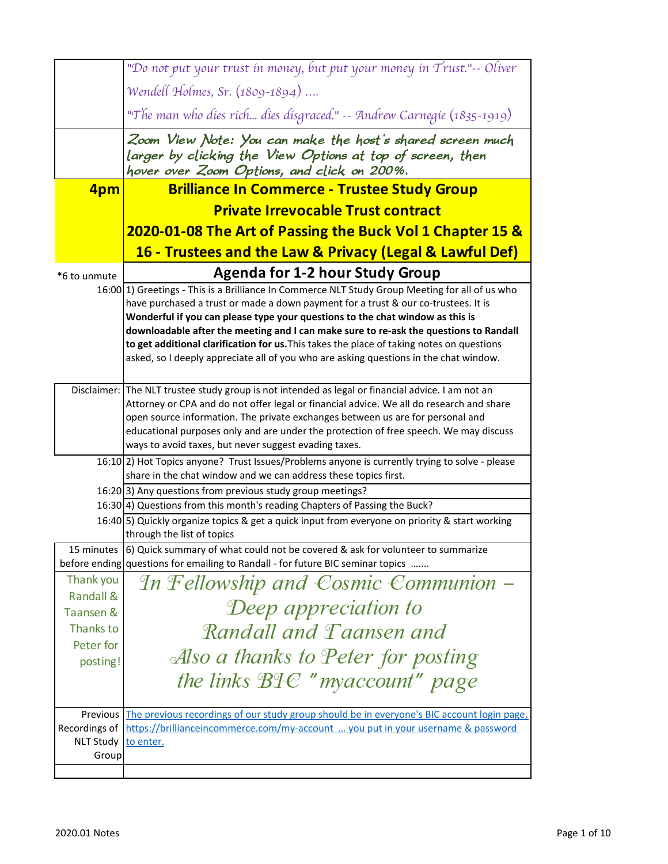|                                   | "Do not put your trust in money, but put your money in Trust."-- Oliver                                                                                                                                                                                                                                                                                                                                                                                                                                                                               |
|-----------------------------------|-------------------------------------------------------------------------------------------------------------------------------------------------------------------------------------------------------------------------------------------------------------------------------------------------------------------------------------------------------------------------------------------------------------------------------------------------------------------------------------------------------------------------------------------------------|
|                                   | Wendell Holmes, Sr. (1809-1894)                                                                                                                                                                                                                                                                                                                                                                                                                                                                                                                       |
|                                   | "The man who dies rich dies disgraced." -- Andrew Carnegie (1835-1919)                                                                                                                                                                                                                                                                                                                                                                                                                                                                                |
|                                   | Zoom View Note: You can make the host's shared screen much<br>larger by clicking the View Options at top of screen, then<br>hover over Zoom Options, and click on 200%.                                                                                                                                                                                                                                                                                                                                                                               |
| 4pm                               | <b>Brilliance In Commerce - Trustee Study Group</b>                                                                                                                                                                                                                                                                                                                                                                                                                                                                                                   |
|                                   | <b>Private Irrevocable Trust contract</b>                                                                                                                                                                                                                                                                                                                                                                                                                                                                                                             |
|                                   | 2020-01-08 The Art of Passing the Buck Vol 1 Chapter 15 &                                                                                                                                                                                                                                                                                                                                                                                                                                                                                             |
|                                   | 16 - Trustees and the Law & Privacy (Legal & Lawful Def)                                                                                                                                                                                                                                                                                                                                                                                                                                                                                              |
| *6 to unmute                      | <b>Agenda for 1-2 hour Study Group</b>                                                                                                                                                                                                                                                                                                                                                                                                                                                                                                                |
|                                   | 16:00 1) Greetings - This is a Brilliance In Commerce NLT Study Group Meeting for all of us who<br>have purchased a trust or made a down payment for a trust & our co-trustees. It is<br>Wonderful if you can please type your questions to the chat window as this is<br>downloadable after the meeting and I can make sure to re-ask the questions to Randall<br>to get additional clarification for us. This takes the place of taking notes on questions<br>asked, so I deeply appreciate all of you who are asking questions in the chat window. |
|                                   | Disclaimer: The NLT trustee study group is not intended as legal or financial advice. I am not an<br>Attorney or CPA and do not offer legal or financial advice. We all do research and share<br>open source information. The private exchanges between us are for personal and<br>educational purposes only and are under the protection of free speech. We may discuss<br>ways to avoid taxes, but never suggest evading taxes.                                                                                                                     |
|                                   | 16:10 [2] Hot Topics anyone? Trust Issues/Problems anyone is currently trying to solve - please<br>share in the chat window and we can address these topics first.                                                                                                                                                                                                                                                                                                                                                                                    |
|                                   | 16:20 3) Any questions from previous study group meetings?                                                                                                                                                                                                                                                                                                                                                                                                                                                                                            |
|                                   | 16:30 4) Questions from this month's reading Chapters of Passing the Buck?                                                                                                                                                                                                                                                                                                                                                                                                                                                                            |
|                                   | 16:40 5) Quickly organize topics & get a quick input from everyone on priority & start working<br>through the list of topics                                                                                                                                                                                                                                                                                                                                                                                                                          |
| 15 minutes                        | 6) Quick summary of what could not be covered & ask for volunteer to summarize<br>before ending questions for emailing to Randall - for future BIC seminar topics                                                                                                                                                                                                                                                                                                                                                                                     |
| Thank you<br><b>Randall &amp;</b> | In Fellowship and Cosmic Communion –                                                                                                                                                                                                                                                                                                                                                                                                                                                                                                                  |
| Taansen &                         | Deep appreciation to                                                                                                                                                                                                                                                                                                                                                                                                                                                                                                                                  |
| Thanks to                         | Randall and Taansen and                                                                                                                                                                                                                                                                                                                                                                                                                                                                                                                               |
| Peter for                         | Also a thanks to Peter for posting                                                                                                                                                                                                                                                                                                                                                                                                                                                                                                                    |
| posting!                          |                                                                                                                                                                                                                                                                                                                                                                                                                                                                                                                                                       |
|                                   | the links $BIC$ "myaccount" page                                                                                                                                                                                                                                                                                                                                                                                                                                                                                                                      |
| Previous                          | The previous recordings of our study group should be in everyone's BIC account login page,                                                                                                                                                                                                                                                                                                                                                                                                                                                            |
| Recordings of<br><b>NLT Study</b> | https://brillianceincommerce.com/my-account  you put in your username & password<br>to enter.                                                                                                                                                                                                                                                                                                                                                                                                                                                         |
| Group                             |                                                                                                                                                                                                                                                                                                                                                                                                                                                                                                                                                       |
|                                   |                                                                                                                                                                                                                                                                                                                                                                                                                                                                                                                                                       |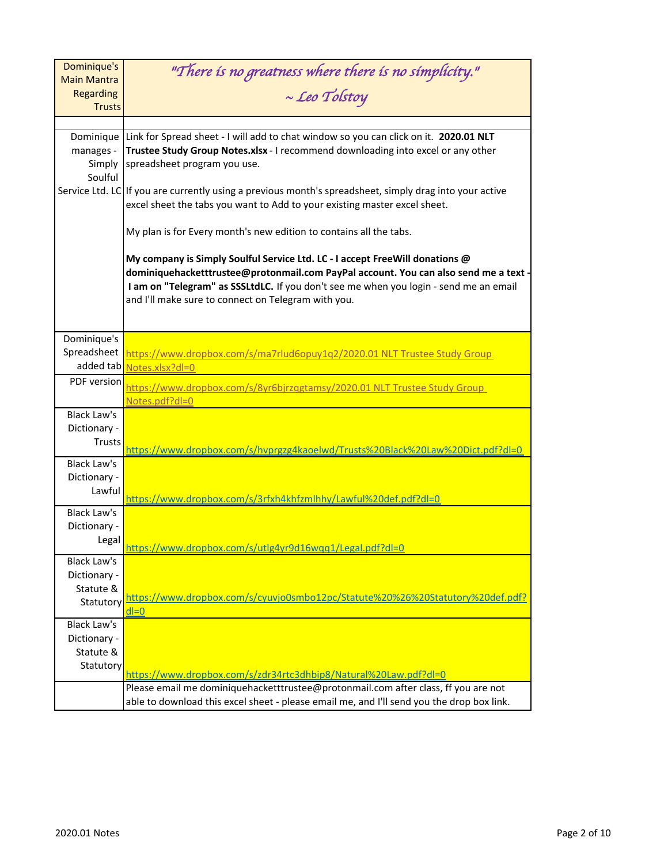| Dominique's                            | "There is no greatness where there is no simplicity."                                                                                                                                                                                                                                                                |
|----------------------------------------|----------------------------------------------------------------------------------------------------------------------------------------------------------------------------------------------------------------------------------------------------------------------------------------------------------------------|
| <b>Main Mantra</b><br><b>Regarding</b> | $\sim$ Leo Tolstoy                                                                                                                                                                                                                                                                                                   |
| <b>Trusts</b>                          |                                                                                                                                                                                                                                                                                                                      |
|                                        |                                                                                                                                                                                                                                                                                                                      |
| Dominique                              | Link for Spread sheet - I will add to chat window so you can click on it. 2020.01 NLT                                                                                                                                                                                                                                |
| manages -                              | Trustee Study Group Notes.xlsx - I recommend downloading into excel or any other                                                                                                                                                                                                                                     |
| Soulful                                | Simply spreadsheet program you use.                                                                                                                                                                                                                                                                                  |
|                                        | Service Ltd. LC If you are currently using a previous month's spreadsheet, simply drag into your active                                                                                                                                                                                                              |
|                                        | excel sheet the tabs you want to Add to your existing master excel sheet.                                                                                                                                                                                                                                            |
|                                        |                                                                                                                                                                                                                                                                                                                      |
|                                        | My plan is for Every month's new edition to contains all the tabs.                                                                                                                                                                                                                                                   |
|                                        | My company is Simply Soulful Service Ltd. LC - I accept FreeWill donations @<br>dominiquehacketttrustee@protonmail.com PayPal account. You can also send me a text -<br>I am on "Telegram" as SSSLtdLC. If you don't see me when you login - send me an email<br>and I'll make sure to connect on Telegram with you. |
| Dominique's                            |                                                                                                                                                                                                                                                                                                                      |
| Spreadsheet                            | https://www.dropbox.com/s/ma7rlud6opuy1q2/2020.01 NLT Trustee Study Group                                                                                                                                                                                                                                            |
| added tab                              | Notes.xlsx?dl=0                                                                                                                                                                                                                                                                                                      |
| PDF version                            | nttps://www.dropbox.com/s/8yr6bjrzggtamsy/2020.01 NLT Trustee Study Group                                                                                                                                                                                                                                            |
|                                        | Notes.pdf?dl=0                                                                                                                                                                                                                                                                                                       |
| <b>Black Law's</b>                     |                                                                                                                                                                                                                                                                                                                      |
| Dictionary -                           |                                                                                                                                                                                                                                                                                                                      |
| <b>Trusts</b>                          | <u>https://www.dropbox.com/s/hvprgzg4kaoelwd/Trusts%20Black%20Law%20Dict.pdf?dl=0</u>                                                                                                                                                                                                                                |
| <b>Black Law's</b>                     |                                                                                                                                                                                                                                                                                                                      |
| Dictionary -                           |                                                                                                                                                                                                                                                                                                                      |
| Lawful                                 | https://www.dropbox.com/s/3rfxh4khfzmlhhy/Lawful%20def.pdf?dl=0                                                                                                                                                                                                                                                      |
| <b>Black Law's</b>                     |                                                                                                                                                                                                                                                                                                                      |
| Dictionary -                           |                                                                                                                                                                                                                                                                                                                      |
| Legal                                  | https://www.dropbox.com/s/utlg4yr9d16wqq1/Legal.pdf?dl=0                                                                                                                                                                                                                                                             |
| Black Law's                            |                                                                                                                                                                                                                                                                                                                      |
| Dictionary -                           |                                                                                                                                                                                                                                                                                                                      |
| Statute &                              | https://www.dropbox.com/s/cyuvio0smbo12pc/Statute%20%26%20Statutory%20def.pdf?                                                                                                                                                                                                                                       |
| Statutory                              | $dl = 0$                                                                                                                                                                                                                                                                                                             |
| <b>Black Law's</b>                     |                                                                                                                                                                                                                                                                                                                      |
| Dictionary -                           |                                                                                                                                                                                                                                                                                                                      |
| Statute &                              |                                                                                                                                                                                                                                                                                                                      |
| Statutory                              | https://www.dropbox.com/s/zdr34rtc3dhbip8/Natural%20Law.pdf?dl=0                                                                                                                                                                                                                                                     |
|                                        | Please email me dominiquehacketttrustee@protonmail.com after class, ff you are not                                                                                                                                                                                                                                   |
|                                        | able to download this excel sheet - please email me, and I'll send you the drop box link.                                                                                                                                                                                                                            |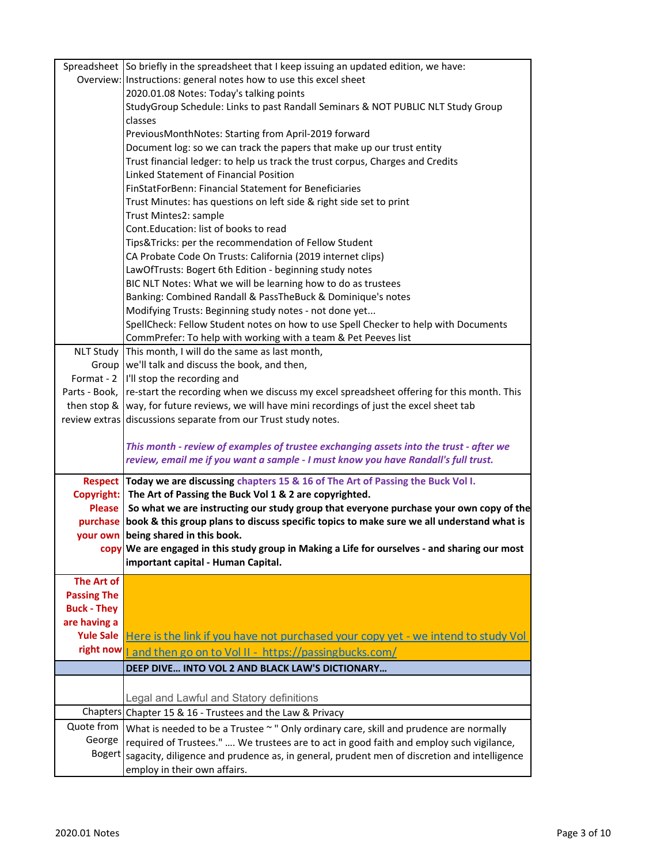|                    | Spreadsheet So briefly in the spreadsheet that I keep issuing an updated edition, we have:                                                                  |
|--------------------|-------------------------------------------------------------------------------------------------------------------------------------------------------------|
|                    | Overview: Instructions: general notes how to use this excel sheet                                                                                           |
|                    | 2020.01.08 Notes: Today's talking points                                                                                                                    |
|                    | StudyGroup Schedule: Links to past Randall Seminars & NOT PUBLIC NLT Study Group                                                                            |
|                    | classes                                                                                                                                                     |
|                    | PreviousMonthNotes: Starting from April-2019 forward                                                                                                        |
|                    | Document log: so we can track the papers that make up our trust entity                                                                                      |
|                    | Trust financial ledger: to help us track the trust corpus, Charges and Credits                                                                              |
|                    | Linked Statement of Financial Position                                                                                                                      |
|                    | FinStatForBenn: Financial Statement for Beneficiaries                                                                                                       |
|                    | Trust Minutes: has questions on left side & right side set to print                                                                                         |
|                    | Trust Mintes2: sample                                                                                                                                       |
|                    | Cont.Education: list of books to read                                                                                                                       |
|                    | Tips&Tricks: per the recommendation of Fellow Student                                                                                                       |
|                    | CA Probate Code On Trusts: California (2019 internet clips)                                                                                                 |
|                    | LawOfTrusts: Bogert 6th Edition - beginning study notes                                                                                                     |
|                    | BIC NLT Notes: What we will be learning how to do as trustees                                                                                               |
|                    | Banking: Combined Randall & PassTheBuck & Dominique's notes                                                                                                 |
|                    | Modifying Trusts: Beginning study notes - not done yet                                                                                                      |
|                    | SpellCheck: Fellow Student notes on how to use Spell Checker to help with Documents                                                                         |
|                    | CommPrefer: To help with working with a team & Pet Peeves list                                                                                              |
|                    | NLT Study This month, I will do the same as last month,                                                                                                     |
|                    | Group   we'll talk and discuss the book, and then,                                                                                                          |
|                    | Format - 2  I'll stop the recording and                                                                                                                     |
|                    | Parts - Book, re-start the recording when we discuss my excel spreadsheet offering for this month. This                                                     |
|                    | then stop &  way, for future reviews, we will have mini recordings of just the excel sheet tab                                                              |
|                    | review extras discussions separate from our Trust study notes.                                                                                              |
|                    | This month - review of examples of trustee exchanging assets into the trust - after we                                                                      |
|                    | review, email me if you want a sample - I must know you have Randall's full trust.                                                                          |
|                    |                                                                                                                                                             |
|                    | Respect Today we are discussing chapters 15 & 16 of The Art of Passing the Buck Vol I.<br>Copyright: The Art of Passing the Buck Vol 1 & 2 are copyrighted. |
|                    | Please So what we are instructing our study group that everyone purchase your own copy of the                                                               |
|                    | purchase book & this group plans to discuss specific topics to make sure we all understand what is                                                          |
|                    | your own being shared in this book.                                                                                                                         |
|                    | copy We are engaged in this study group in Making a Life for ourselves - and sharing our most                                                               |
|                    | important capital - Human Capital.                                                                                                                          |
| The Art of         |                                                                                                                                                             |
| <b>Passing The</b> |                                                                                                                                                             |
| <b>Buck - They</b> |                                                                                                                                                             |
| are having a       |                                                                                                                                                             |
| <b>Yule Sale</b>   | Here is the link if you have not purchased your copy yet - we intend to study Vol                                                                           |
| right now          | <u>l and then go on to Vol II - https://passingbucks.com/</u>                                                                                               |
|                    | DEEP DIVE INTO VOL 2 AND BLACK LAW'S DICTIONARY                                                                                                             |
|                    |                                                                                                                                                             |
|                    | Legal and Lawful and Statory definitions                                                                                                                    |
|                    | Chapters Chapter 15 & 16 - Trustees and the Law & Privacy                                                                                                   |
| Quote from         | What is needed to be a Trustee ~ " Only ordinary care, skill and prudence are normally                                                                      |
| George             | required of Trustees."  We trustees are to act in good faith and employ such vigilance,                                                                     |
| <b>Bogert</b>      | sagacity, diligence and prudence as, in general, prudent men of discretion and intelligence                                                                 |
|                    | employ in their own affairs.                                                                                                                                |
|                    |                                                                                                                                                             |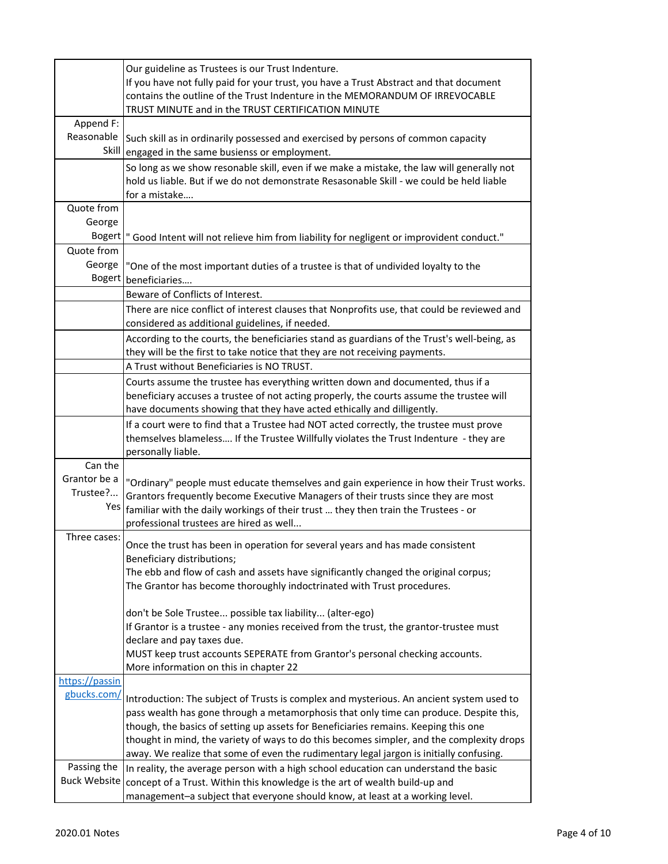|                | Our guideline as Trustees is our Trust Indenture.<br>If you have not fully paid for your trust, you have a Trust Abstract and that document<br>contains the outline of the Trust Indenture in the MEMORANDUM OF IRREVOCABLE<br>TRUST MINUTE and in the TRUST CERTIFICATION MINUTE |
|----------------|-----------------------------------------------------------------------------------------------------------------------------------------------------------------------------------------------------------------------------------------------------------------------------------|
| Append F:      |                                                                                                                                                                                                                                                                                   |
| Reasonable     | Such skill as in ordinarily possessed and exercised by persons of common capacity                                                                                                                                                                                                 |
| Skill          | engaged in the same busienss or employment.                                                                                                                                                                                                                                       |
|                | So long as we show resonable skill, even if we make a mistake, the law will generally not                                                                                                                                                                                         |
|                | hold us liable. But if we do not demonstrate Resasonable Skill - we could be held liable                                                                                                                                                                                          |
|                | for a mistake                                                                                                                                                                                                                                                                     |
| Quote from     |                                                                                                                                                                                                                                                                                   |
| George         |                                                                                                                                                                                                                                                                                   |
|                | Bogert  " Good Intent will not relieve him from liability for negligent or improvident conduct."                                                                                                                                                                                  |
| Quote from     |                                                                                                                                                                                                                                                                                   |
| George         | "One of the most important duties of a trustee is that of undivided loyalty to the                                                                                                                                                                                                |
|                | Bogert beneficiaries                                                                                                                                                                                                                                                              |
|                | Beware of Conflicts of Interest.                                                                                                                                                                                                                                                  |
|                | There are nice conflict of interest clauses that Nonprofits use, that could be reviewed and                                                                                                                                                                                       |
|                | considered as additional guidelines, if needed.                                                                                                                                                                                                                                   |
|                | According to the courts, the beneficiaries stand as guardians of the Trust's well-being, as<br>they will be the first to take notice that they are not receiving payments.                                                                                                        |
|                | A Trust without Beneficiaries is NO TRUST.                                                                                                                                                                                                                                        |
|                |                                                                                                                                                                                                                                                                                   |
|                | Courts assume the trustee has everything written down and documented, thus if a<br>beneficiary accuses a trustee of not acting properly, the courts assume the trustee will                                                                                                       |
|                | have documents showing that they have acted ethically and dilligently.                                                                                                                                                                                                            |
|                | If a court were to find that a Trustee had NOT acted correctly, the trustee must prove                                                                                                                                                                                            |
|                | themselves blameless If the Trustee Willfully violates the Trust Indenture - they are                                                                                                                                                                                             |
|                | personally liable.                                                                                                                                                                                                                                                                |
| Can the        |                                                                                                                                                                                                                                                                                   |
| Grantor be a   | "Ordinary" people must educate themselves and gain experience in how their Trust works.                                                                                                                                                                                           |
| Trustee?       | Grantors frequently become Executive Managers of their trusts since they are most                                                                                                                                                                                                 |
|                | $\frac{y_{\text{es}}}{x_{\text{f}}}\$ ramiliar with the daily workings of their trust  they then train the Trustees - or                                                                                                                                                          |
|                | professional trustees are hired as well                                                                                                                                                                                                                                           |
| Three cases:   | Once the trust has been in operation for several years and has made consistent                                                                                                                                                                                                    |
|                | Beneficiary distributions;                                                                                                                                                                                                                                                        |
|                | The ebb and flow of cash and assets have significantly changed the original corpus;                                                                                                                                                                                               |
|                | The Grantor has become thoroughly indoctrinated with Trust procedures.                                                                                                                                                                                                            |
|                |                                                                                                                                                                                                                                                                                   |
|                | don't be Sole Trustee possible tax liability (alter-ego)                                                                                                                                                                                                                          |
|                | If Grantor is a trustee - any monies received from the trust, the grantor-trustee must                                                                                                                                                                                            |
|                | declare and pay taxes due.                                                                                                                                                                                                                                                        |
|                | MUST keep trust accounts SEPERATE from Grantor's personal checking accounts.                                                                                                                                                                                                      |
|                | More information on this in chapter 22                                                                                                                                                                                                                                            |
| https://passin |                                                                                                                                                                                                                                                                                   |
| gbucks.com/    | Introduction: The subject of Trusts is complex and mysterious. An ancient system used to                                                                                                                                                                                          |
|                | pass wealth has gone through a metamorphosis that only time can produce. Despite this,                                                                                                                                                                                            |
|                | though, the basics of setting up assets for Beneficiaries remains. Keeping this one                                                                                                                                                                                               |
|                | thought in mind, the variety of ways to do this becomes simpler, and the complexity drops                                                                                                                                                                                         |
|                | away. We realize that some of even the rudimentary legal jargon is initially confusing.                                                                                                                                                                                           |
| Passing the    | In reality, the average person with a high school education can understand the basic                                                                                                                                                                                              |
|                | Buck Website concept of a Trust. Within this knowledge is the art of wealth build-up and                                                                                                                                                                                          |
|                | management-a subject that everyone should know, at least at a working level.                                                                                                                                                                                                      |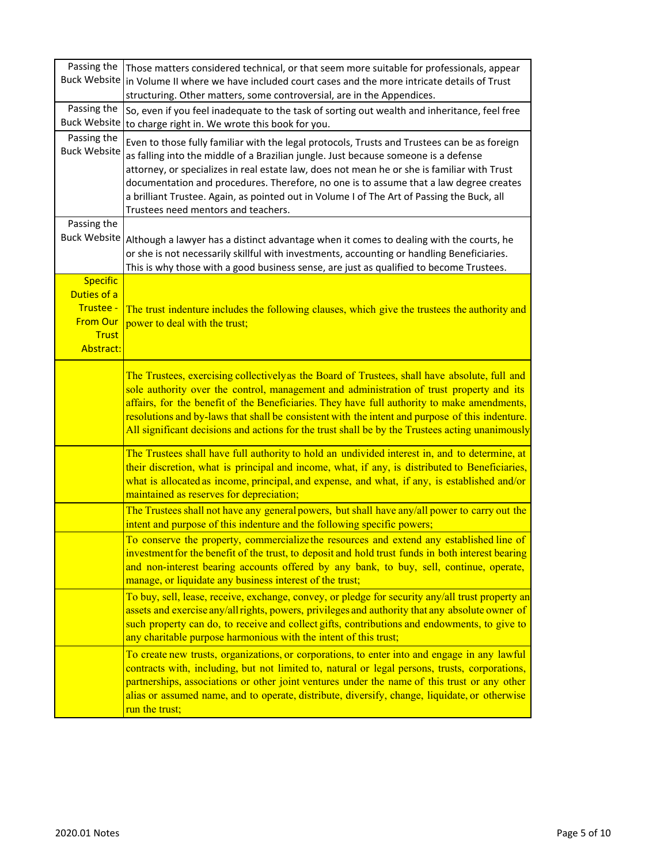| Passing the<br><b>Buck Website</b> | Those matters considered technical, or that seem more suitable for professionals, appear<br>in Volume II where we have included court cases and the more intricate details of Trust                                                                                                                                                                                                                                                                                                                               |
|------------------------------------|-------------------------------------------------------------------------------------------------------------------------------------------------------------------------------------------------------------------------------------------------------------------------------------------------------------------------------------------------------------------------------------------------------------------------------------------------------------------------------------------------------------------|
|                                    | structuring. Other matters, some controversial, are in the Appendices.                                                                                                                                                                                                                                                                                                                                                                                                                                            |
| Passing the                        | So, even if you feel inadequate to the task of sorting out wealth and inheritance, feel free                                                                                                                                                                                                                                                                                                                                                                                                                      |
| <b>Buck Website</b>                | to charge right in. We wrote this book for you.                                                                                                                                                                                                                                                                                                                                                                                                                                                                   |
| Passing the<br><b>Buck Website</b> | Even to those fully familiar with the legal protocols, Trusts and Trustees can be as foreign<br>as falling into the middle of a Brazilian jungle. Just because someone is a defense<br>attorney, or specializes in real estate law, does not mean he or she is familiar with Trust<br>documentation and procedures. Therefore, no one is to assume that a law degree creates<br>a brilliant Trustee. Again, as pointed out in Volume I of The Art of Passing the Buck, all<br>Trustees need mentors and teachers. |
| Passing the                        |                                                                                                                                                                                                                                                                                                                                                                                                                                                                                                                   |
| <b>Buck Website</b>                | Although a lawyer has a distinct advantage when it comes to dealing with the courts, he<br>or she is not necessarily skillful with investments, accounting or handling Beneficiaries.<br>This is why those with a good business sense, are just as qualified to become Trustees.                                                                                                                                                                                                                                  |
| <b>Specific</b>                    |                                                                                                                                                                                                                                                                                                                                                                                                                                                                                                                   |
| Duties of a                        |                                                                                                                                                                                                                                                                                                                                                                                                                                                                                                                   |
| Trustee -<br><b>From Our</b>       | The trust indenture includes the following clauses, which give the trustees the authority and                                                                                                                                                                                                                                                                                                                                                                                                                     |
| <b>Trust</b>                       | power to deal with the trust;                                                                                                                                                                                                                                                                                                                                                                                                                                                                                     |
| Abstract:                          |                                                                                                                                                                                                                                                                                                                                                                                                                                                                                                                   |
|                                    | The Trustees, exercising collectively as the Board of Trustees, shall have absolute, full and<br>sole authority over the control, management and administration of trust property and its<br>affairs, for the benefit of the Beneficiaries. They have full authority to make amendments,<br>resolutions and by-laws that shall be consistent with the intent and purpose of this indenture.<br>All significant decisions and actions for the trust shall be by the Trustees acting unanimously                    |
|                                    | The Trustees shall have full authority to hold an undivided interest in, and to determine, at<br>their discretion, what is principal and income, what, if any, is distributed to Beneficiaries,<br>what is allocated as income, principal, and expense, and what, if any, is established and/or<br>maintained as reserves for depreciation;                                                                                                                                                                       |
|                                    | The Trustees shall not have any general powers, but shall have any/all power to carry out the<br>intent and purpose of this indenture and the following specific powers;                                                                                                                                                                                                                                                                                                                                          |
|                                    | To conserve the property, commercialize the resources and extend any established line of<br>investment for the benefit of the trust, to deposit and hold trust funds in both interest bearing<br>and non-interest bearing accounts offered by any bank, to buy, sell, continue, operate,<br>manage, or liquidate any business interest of the trust;                                                                                                                                                              |
|                                    | To buy, sell, lease, receive, exchange, convey, or pledge for security any/all trust property an<br>assets and exercise any/all rights, powers, privileges and authority that any absolute owner of<br>such property can do, to receive and collect gifts, contributions and endowments, to give to<br>any charitable purpose harmonious with the intent of this trust;                                                                                                                                           |
|                                    | To create new trusts, organizations, or corporations, to enter into and engage in any lawful<br>contracts with, including, but not limited to, natural or legal persons, trusts, corporations,<br>partnerships, associations or other joint ventures under the name of this trust or any other<br>alias or assumed name, and to operate, distribute, diversify, change, liquidate, or otherwise<br>run the trust;                                                                                                 |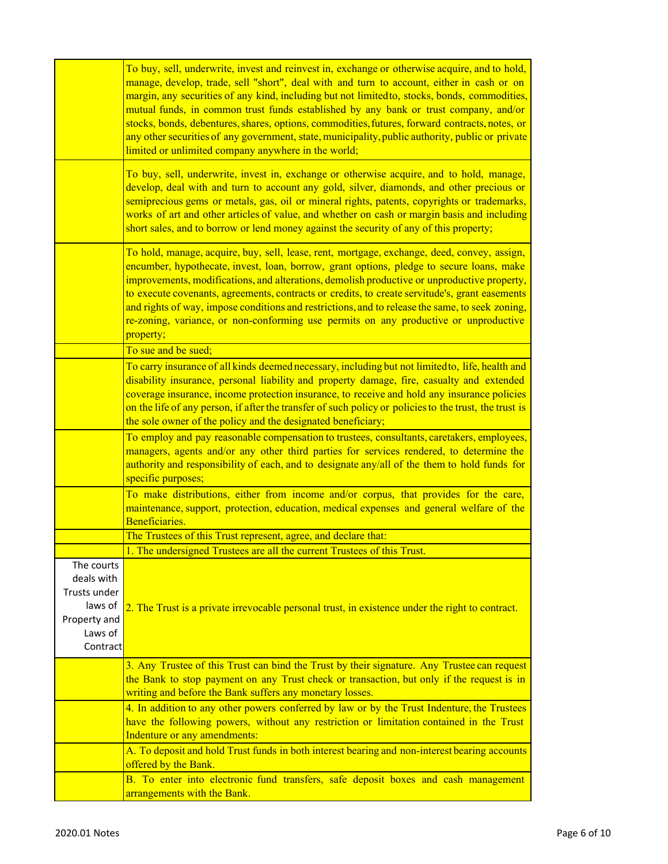|                                                                                            | To buy, sell, underwrite, invest and reinvest in, exchange or otherwise acquire, and to hold,<br>manage, develop, trade, sell "short", deal with and turn to account, either in cash or on<br>margin, any securities of any kind, including but not limited to, stocks, bonds, commodities,<br>mutual funds, in common trust funds established by any bank or trust company, and/or<br>stocks, bonds, debentures, shares, options, commodities, futures, forward contracts, notes, or<br>any other securities of any government, state, municipality, public authority, public or private<br>limited or unlimited company anywhere in the world; |
|--------------------------------------------------------------------------------------------|--------------------------------------------------------------------------------------------------------------------------------------------------------------------------------------------------------------------------------------------------------------------------------------------------------------------------------------------------------------------------------------------------------------------------------------------------------------------------------------------------------------------------------------------------------------------------------------------------------------------------------------------------|
|                                                                                            | To buy, sell, underwrite, invest in, exchange or otherwise acquire, and to hold, manage,<br>develop, deal with and turn to account any gold, silver, diamonds, and other precious or<br>semiprecious gems or metals, gas, oil or mineral rights, patents, copyrights or trademarks,<br>works of art and other articles of value, and whether on cash or margin basis and including<br>short sales, and to borrow or lend money against the security of any of this property;                                                                                                                                                                     |
|                                                                                            | To hold, manage, acquire, buy, sell, lease, rent, mortgage, exchange, deed, convey, assign,<br>encumber, hypothecate, invest, loan, borrow, grant options, pledge to secure loans, make<br>improvements, modifications, and alterations, demolish productive or unproductive property,<br>to execute covenants, agreements, contracts or credits, to create servitude's, grant easements<br>and rights of way, impose conditions and restrictions, and to release the same, to seek zoning,<br>re-zoning, variance, or non-conforming use permits on any productive or unproductive<br>property;                                                 |
|                                                                                            | To sue and be sued;                                                                                                                                                                                                                                                                                                                                                                                                                                                                                                                                                                                                                              |
|                                                                                            | To carry insurance of all kinds deemed necessary, including but not limited to, life, health and<br>disability insurance, personal liability and property damage, fire, casualty and extended<br>coverage insurance, income protection insurance, to receive and hold any insurance policies<br>on the life of any person, if after the transfer of such policy or policies to the trust, the trust is<br>the sole owner of the policy and the designated beneficiary;                                                                                                                                                                           |
|                                                                                            | To employ and pay reasonable compensation to trustees, consultants, caretakers, employees,<br>managers, agents and/or any other third parties for services rendered, to determine the<br>authority and responsibility of each, and to designate any/all of the them to hold funds for<br>specific purposes;                                                                                                                                                                                                                                                                                                                                      |
|                                                                                            | To make distributions, either from income and/or corpus, that provides for the care,<br>maintenance, support, protection, education, medical expenses and general welfare of the<br>Beneficiaries.                                                                                                                                                                                                                                                                                                                                                                                                                                               |
|                                                                                            | The Trustees of this Trust represent, agree, and declare that:                                                                                                                                                                                                                                                                                                                                                                                                                                                                                                                                                                                   |
|                                                                                            | 1. The undersigned Trustees are all the current Trustees of this Trust.                                                                                                                                                                                                                                                                                                                                                                                                                                                                                                                                                                          |
| The courts<br>deals with<br>Trusts under<br>laws of<br>Property and<br>Laws of<br>Contract | 2. The Trust is a private irrevocable personal trust, in existence under the right to contract.                                                                                                                                                                                                                                                                                                                                                                                                                                                                                                                                                  |
|                                                                                            | 3. Any Trustee of this Trust can bind the Trust by their signature. Any Trustee can request<br>the Bank to stop payment on any Trust check or transaction, but only if the request is in<br>writing and before the Bank suffers any monetary losses.                                                                                                                                                                                                                                                                                                                                                                                             |
|                                                                                            | 4. In addition to any other powers conferred by law or by the Trust Indenture, the Trustees<br>have the following powers, without any restriction or limitation contained in the Trust<br>Indenture or any amendments:                                                                                                                                                                                                                                                                                                                                                                                                                           |
|                                                                                            | A. To deposit and hold Trust funds in both interest bearing and non-interest bearing accounts<br>offered by the Bank.                                                                                                                                                                                                                                                                                                                                                                                                                                                                                                                            |
|                                                                                            | B. To enter into electronic fund transfers, safe deposit boxes and cash management<br>arrangements with the Bank.                                                                                                                                                                                                                                                                                                                                                                                                                                                                                                                                |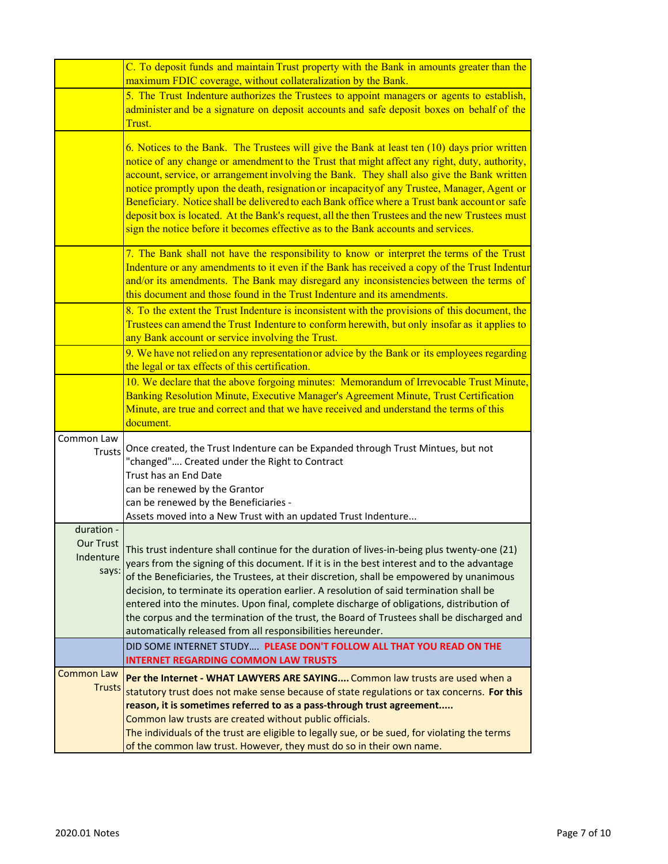|                                                      | C. To deposit funds and maintain Trust property with the Bank in amounts greater than the<br>maximum FDIC coverage, without collateralization by the Bank.                                                                                                                                                                                                                                                                                                                                                                                                                                                                                                                        |
|------------------------------------------------------|-----------------------------------------------------------------------------------------------------------------------------------------------------------------------------------------------------------------------------------------------------------------------------------------------------------------------------------------------------------------------------------------------------------------------------------------------------------------------------------------------------------------------------------------------------------------------------------------------------------------------------------------------------------------------------------|
|                                                      | 5. The Trust Indenture authorizes the Trustees to appoint managers or agents to establish,<br>administer and be a signature on deposit accounts and safe deposit boxes on behalf of the<br>Trust.                                                                                                                                                                                                                                                                                                                                                                                                                                                                                 |
|                                                      | 6. Notices to the Bank. The Trustees will give the Bank at least ten (10) days prior written<br>notice of any change or amendment to the Trust that might affect any right, duty, authority,<br>account, service, or arrangement involving the Bank. They shall also give the Bank written<br>notice promptly upon the death, resignation or incapacity of any Trustee, Manager, Agent or<br>Beneficiary. Notice shall be delivered to each Bank office where a Trust bank account or safe<br>deposit box is located. At the Bank's request, all the then Trustees and the new Trustees must<br>sign the notice before it becomes effective as to the Bank accounts and services. |
|                                                      | 7. The Bank shall not have the responsibility to know or interpret the terms of the Trust<br>Indenture or any amendments to it even if the Bank has received a copy of the Trust Indentur<br>and/or its amendments. The Bank may disregard any inconsistencies between the terms of<br>this document and those found in the Trust Indenture and its amendments.                                                                                                                                                                                                                                                                                                                   |
|                                                      | 8. To the extent the Trust Indenture is inconsistent with the provisions of this document, the<br>Trustees can amend the Trust Indenture to conform herewith, but only insofar as it applies to<br>any Bank account or service involving the Trust.                                                                                                                                                                                                                                                                                                                                                                                                                               |
|                                                      | 9. We have not relied on any representation or advice by the Bank or its employees regarding<br>the legal or tax effects of this certification.                                                                                                                                                                                                                                                                                                                                                                                                                                                                                                                                   |
|                                                      | 10. We declare that the above forgoing minutes: Memorandum of Irrevocable Trust Minute,<br>Banking Resolution Minute, Executive Manager's Agreement Minute, Trust Certification<br>Minute, are true and correct and that we have received and understand the terms of this<br>document.                                                                                                                                                                                                                                                                                                                                                                                           |
| Common Law<br><b>Trusts</b>                          | Once created, the Trust Indenture can be Expanded through Trust Mintues, but not<br>"changed" Created under the Right to Contract<br>Trust has an End Date<br>can be renewed by the Grantor<br>can be renewed by the Beneficiaries -<br>Assets moved into a New Trust with an updated Trust Indenture                                                                                                                                                                                                                                                                                                                                                                             |
| duration -<br><b>Our Trust</b><br>Indenture<br>says: | This trust indenture shall continue for the duration of lives-in-being plus twenty-one (21)<br>years from the signing of this document. If it is in the best interest and to the advantage<br>of the Beneficiaries, the Trustees, at their discretion, shall be empowered by unanimous<br>decision, to terminate its operation earlier. A resolution of said termination shall be<br>entered into the minutes. Upon final, complete discharge of obligations, distribution of<br>the corpus and the termination of the trust, the Board of Trustees shall be discharged and<br>automatically released from all responsibilities hereunder.                                        |
|                                                      | DID SOME INTERNET STUDY PLEASE DON'T FOLLOW ALL THAT YOU READ ON THE<br><b>INTERNET REGARDING COMMON LAW TRUSTS</b>                                                                                                                                                                                                                                                                                                                                                                                                                                                                                                                                                               |
| <b>Common Law</b><br><b>Trusts</b>                   | Per the Internet - WHAT LAWYERS ARE SAYING Common law trusts are used when a<br>statutory trust does not make sense because of state regulations or tax concerns. For this<br>reason, it is sometimes referred to as a pass-through trust agreement<br>Common law trusts are created without public officials.<br>The individuals of the trust are eligible to legally sue, or be sued, for violating the terms                                                                                                                                                                                                                                                                   |
|                                                      | of the common law trust. However, they must do so in their own name.                                                                                                                                                                                                                                                                                                                                                                                                                                                                                                                                                                                                              |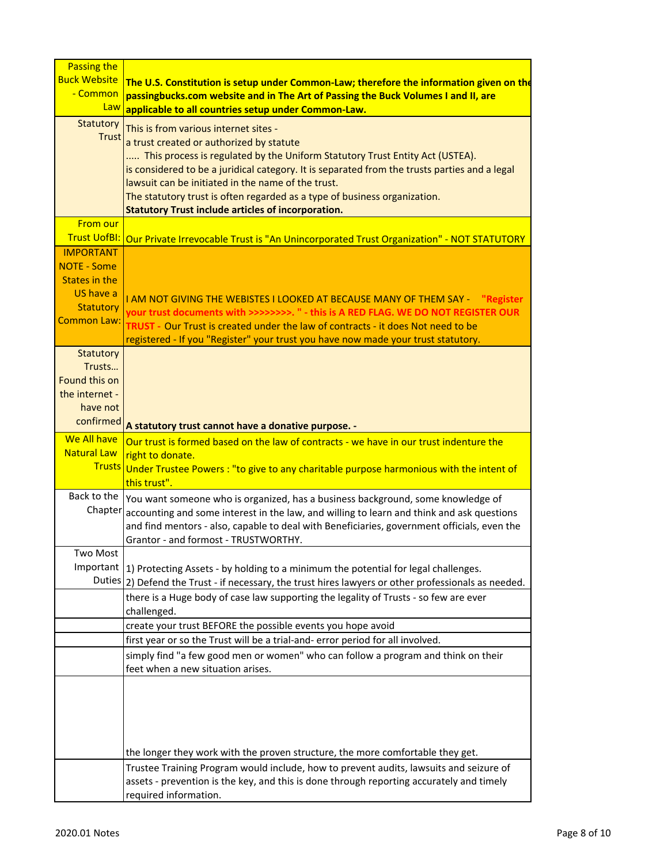| Passing the                   |                                                                                                                                     |
|-------------------------------|-------------------------------------------------------------------------------------------------------------------------------------|
| <b>Buck Website</b>           | The U.S. Constitution is setup under Common-Law; therefore the information given on the                                             |
| - Common                      | passingbucks.com website and in The Art of Passing the Buck Volumes I and II, are                                                   |
| Law                           | applicable to all countries setup under Common-Law.                                                                                 |
| Statutory                     | This is from various internet sites -                                                                                               |
| <b>Trust</b>                  | a trust created or authorized by statute                                                                                            |
|                               | This process is regulated by the Uniform Statutory Trust Entity Act (USTEA).                                                        |
|                               | is considered to be a juridical category. It is separated from the trusts parties and a legal                                       |
|                               | lawsuit can be initiated in the name of the trust.                                                                                  |
|                               | The statutory trust is often regarded as a type of business organization.                                                           |
|                               | <b>Statutory Trust include articles of incorporation.</b>                                                                           |
| <b>From our</b>               |                                                                                                                                     |
|                               | Trust UofBI: Our Private Irrevocable Trust is "An Unincorporated Trust Organization" - NOT STATUTORY                                |
| <b>IMPORTANT</b>              |                                                                                                                                     |
| <b>NOTE - Some</b>            |                                                                                                                                     |
| States in the                 |                                                                                                                                     |
| US have a<br><b>Statutory</b> | I AM NOT GIVING THE WEBISTES I LOOKED AT BECAUSE MANY OF THEM SAY -<br>"Register                                                    |
| <b>Common Law:</b>            | your trust documents with >>>>>>>>. " - this is A RED FLAG. WE DO NOT REGISTER OUR                                                  |
|                               | TRUST - Our Trust is created under the law of contracts - it does Not need to be                                                    |
|                               | registered - If you "Register" your trust you have now made your trust statutory.                                                   |
| <b>Statutory</b><br>Trusts    |                                                                                                                                     |
| Found this on                 |                                                                                                                                     |
| the internet -                |                                                                                                                                     |
| have not                      |                                                                                                                                     |
| confirmed                     |                                                                                                                                     |
| We All have                   | A statutory trust cannot have a donative purpose. -                                                                                 |
| <b>Natural Law</b>            | Our trust is formed based on the law of contracts - we have in our trust indenture the                                              |
|                               | right to donate.<br>Trusts Under Trustee Powers: "to give to any charitable purpose harmonious with the intent of                   |
|                               | this trust".                                                                                                                        |
| Back to the                   |                                                                                                                                     |
| Chapter                       | You want someone who is organized, has a business background, some knowledge of                                                     |
|                               | accounting and some interest in the law, and willing to learn and think and ask questions                                           |
|                               | and find mentors - also, capable to deal with Beneficiaries, government officials, even the<br>Grantor - and formost - TRUSTWORTHY. |
| Two Most                      |                                                                                                                                     |
| Important                     | 1) Protecting Assets - by holding to a minimum the potential for legal challenges.                                                  |
|                               | Duties 2) Defend the Trust - if necessary, the trust hires lawyers or other professionals as needed.                                |
|                               | there is a Huge body of case law supporting the legality of Trusts - so few are ever                                                |
|                               | challenged.                                                                                                                         |
|                               | create your trust BEFORE the possible events you hope avoid                                                                         |
|                               | first year or so the Trust will be a trial-and- error period for all involved.                                                      |
|                               | simply find "a few good men or women" who can follow a program and think on their                                                   |
|                               | feet when a new situation arises.                                                                                                   |
|                               |                                                                                                                                     |
|                               |                                                                                                                                     |
|                               |                                                                                                                                     |
|                               |                                                                                                                                     |
|                               |                                                                                                                                     |
|                               | the longer they work with the proven structure, the more comfortable they get.                                                      |
|                               | Trustee Training Program would include, how to prevent audits, lawsuits and seizure of                                              |
|                               | assets - prevention is the key, and this is done through reporting accurately and timely                                            |
|                               | required information.                                                                                                               |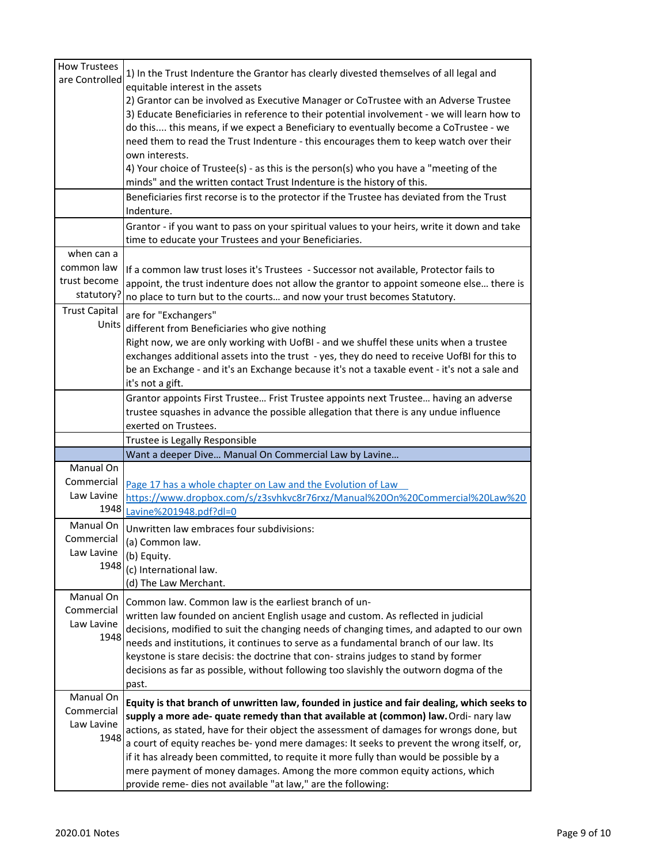| <b>How Trustees</b>  |                                                                                                                                             |
|----------------------|---------------------------------------------------------------------------------------------------------------------------------------------|
| are Controlled       | 1) In the Trust Indenture the Grantor has clearly divested themselves of all legal and<br>equitable interest in the assets                  |
|                      | 2) Grantor can be involved as Executive Manager or CoTrustee with an Adverse Trustee                                                        |
|                      | 3) Educate Beneficiaries in reference to their potential involvement - we will learn how to                                                 |
|                      | do this this means, if we expect a Beneficiary to eventually become a CoTrustee - we                                                        |
|                      | need them to read the Trust Indenture - this encourages them to keep watch over their                                                       |
|                      | own interests.                                                                                                                              |
|                      | 4) Your choice of Trustee(s) - as this is the person(s) who you have a "meeting of the                                                      |
|                      | minds" and the written contact Trust Indenture is the history of this.                                                                      |
|                      | Beneficiaries first recorse is to the protector if the Trustee has deviated from the Trust                                                  |
|                      | Indenture.                                                                                                                                  |
|                      | Grantor - if you want to pass on your spiritual values to your heirs, write it down and take                                                |
|                      | time to educate your Trustees and your Beneficiaries.                                                                                       |
| when can a           |                                                                                                                                             |
| common law           | If a common law trust loses it's Trustees - Successor not available, Protector fails to                                                     |
| trust become         | appoint, the trust indenture does not allow the grantor to appoint someone else there is                                                    |
| statutory?           | no place to turn but to the courts and now your trust becomes Statutory.                                                                    |
| <b>Trust Capital</b> | are for "Exchangers"                                                                                                                        |
| Units                | different from Beneficiaries who give nothing                                                                                               |
|                      | Right now, we are only working with UofBI - and we shuffel these units when a trustee                                                       |
|                      | exchanges additional assets into the trust - yes, they do need to receive UofBI for this to                                                 |
|                      | be an Exchange - and it's an Exchange because it's not a taxable event - it's not a sale and                                                |
|                      | it's not a gift.                                                                                                                            |
|                      | Grantor appoints First Trustee Frist Trustee appoints next Trustee having an adverse                                                        |
|                      | trustee squashes in advance the possible allegation that there is any undue influence                                                       |
|                      |                                                                                                                                             |
|                      | exerted on Trustees.                                                                                                                        |
|                      | Trustee is Legally Responsible                                                                                                              |
|                      | Want a deeper Dive Manual On Commercial Law by Lavine                                                                                       |
| Manual On            |                                                                                                                                             |
| Commercial           | Page 17 has a whole chapter on Law and the Evolution of Law                                                                                 |
| Law Lavine           | https://www.dropbox.com/s/z3svhkvc8r76rxz/Manual%20On%20Commercial%20Law%20                                                                 |
| 1948                 | Lavine%201948.pdf?dl=0                                                                                                                      |
| Manual On            | Unwritten law embraces four subdivisions:                                                                                                   |
| Commercial           | (a) Common law.                                                                                                                             |
| Law Lavine           | (b) Equity.                                                                                                                                 |
| 1948                 | (c) International law.                                                                                                                      |
|                      | (d) The Law Merchant.                                                                                                                       |
| Manual On            | Common law. Common law is the earliest branch of un-                                                                                        |
| Commercial           | written law founded on ancient English usage and custom. As reflected in judicial                                                           |
| Law Lavine           | decisions, modified to suit the changing needs of changing times, and adapted to our own                                                    |
| 1948                 | needs and institutions, it continues to serve as a fundamental branch of our law. Its                                                       |
|                      | keystone is stare decisis: the doctrine that con-strains judges to stand by former                                                          |
|                      | decisions as far as possible, without following too slavishly the outworn dogma of the                                                      |
|                      | past.                                                                                                                                       |
| Manual On            | Equity is that branch of unwritten law, founded in justice and fair dealing, which seeks to                                                 |
| Commercial           | supply a more ade- quate remedy than that available at (common) law. Ordi- nary law                                                         |
| Law Lavine           | actions, as stated, have for their object the assessment of damages for wrongs done, but                                                    |
| 1948                 | a court of equity reaches be-yond mere damages: It seeks to prevent the wrong itself, or,                                                   |
|                      | if it has already been committed, to requite it more fully than would be possible by a                                                      |
|                      | mere payment of money damages. Among the more common equity actions, which<br>provide reme- dies not available "at law," are the following: |